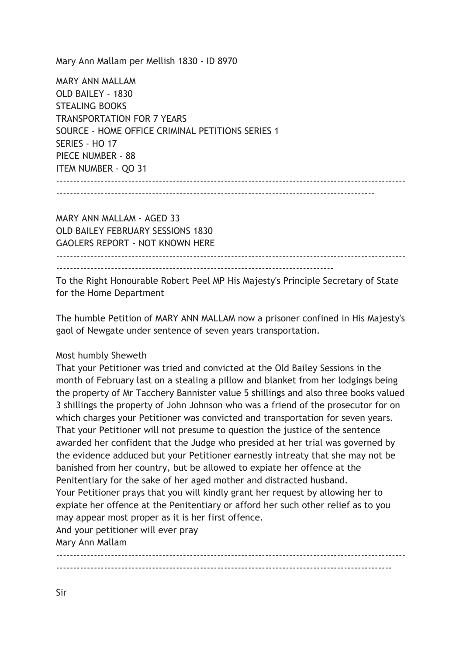Mary Ann Mallam per Mellish 1830 - ID 8970

MARY ANN MALLAM OLD BAILEY - 1830 STEALING BOOKS TRANSPORTATION FOR 7 YEARS SOURCE - HOME OFFICE CRIMINAL PETITIONS SERIES 1 SERIES - HO 17 PIECE NUMBER - 88 ITEM NUMBER - QO 31 ------------------------------------------------------------------------------------------------------

---------------------------------------------------------------------------------------------

MARY ANN MALLAM - AGED 33 OLD BAILEY FEBRUARY SESSIONS 1830 GAOLERS REPORT - NOT KNOWN HERE

 $-$ 

---------------------------------------------------------------------------------

To the Right Honourable Robert Peel MP His Majesty's Principle Secretary of State for the Home Department

The humble Petition of MARY ANN MALLAM now a prisoner confined in His Majesty's gaol of Newgate under sentence of seven years transportation.

## Most humbly Sheweth

That your Petitioner was tried and convicted at the Old Bailey Sessions in the month of February last on a stealing a pillow and blanket from her lodgings being the property of Mr Tacchery Bannister value 5 shillings and also three books valued 3 shillings the property of John Johnson who was a friend of the prosecutor for on which charges your Petitioner was convicted and transportation for seven years. That your Petitioner will not presume to question the justice of the sentence awarded her confident that the Judge who presided at her trial was governed by the evidence adduced but your Petitioner earnestly intreaty that she may not be banished from her country, but be allowed to expiate her offence at the Penitentiary for the sake of her aged mother and distracted husband. Your Petitioner prays that you will kindly grant her request by allowing her to expiate her offence at the Penitentiary or afford her such other relief as to you may appear most proper as it is her first offence.

And your petitioner will ever pray

Mary Ann Mallam

------------------------------------------------------------------------------------------------------ --------------------------------------------------------------------------------------------------